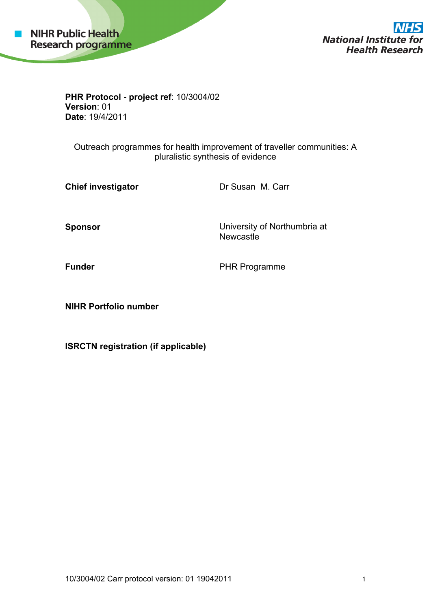

**National Institute for Health Research** 

**PHR Protocol - project ref**: 10/3004/02 **Version**: 01 **Date**: 19/4/2011

Outreach programmes for health improvement of traveller communities: A pluralistic synthesis of evidence

**Chief investigator Dr Susan M. Carr** 

**Sponsor Consumersity of Northumbria at America** Constanting Constanting Constanting Constanting Constanting Constanting Constanting Constanting Constanting Constanting Constanting Constanting Constanting Constanting Con **Newcastle** 

**Funder** PHR Programme

**NIHR Portfolio number** 

**ISRCTN registration (if applicable)**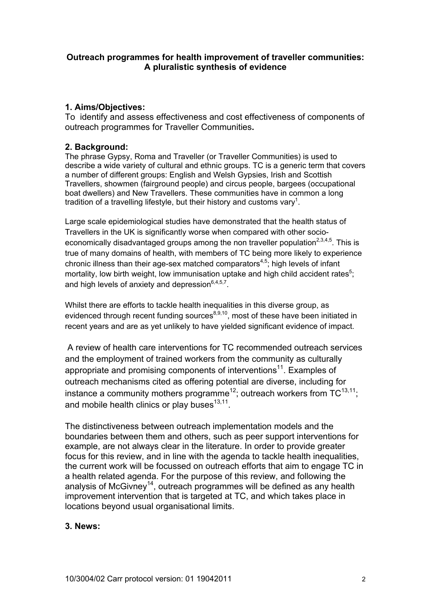### **Outreach programmes for health improvement of traveller communities: A pluralistic synthesis of evidence**

# **1. Aims/Objectives:**

To identify and assess effectiveness and cost effectiveness of components of outreach programmes for Traveller Communities**.** 

## **2. Background:**

The phrase Gypsy, Roma and Traveller (or Traveller Communities) is used to describe a wide variety of cultural and ethnic groups. TC is a generic term that covers a number of different groups: English and Welsh Gypsies, Irish and Scottish Travellers, showmen (fairground people) and circus people, bargees (occupational boat dwellers) and New Travellers. These communities have in common a long tradition of a travelling lifestyle, but their history and customs vary<sup>1</sup>.

Large scale epidemiological studies have demonstrated that the health status of Travellers in the UK is significantly worse when compared with other socioeconomically disadvantaged groups among the non traveller population<sup>2,3,4,5</sup>. This is true of many domains of health, with members of TC being more likely to experience chronic illness than their age-sex matched comparators<sup>4,5</sup>; high levels of infant mortality, low birth weight, low immunisation uptake and high child accident rates<sup>5</sup>; and high levels of anxiety and depression $6,4,5,7$ .

Whilst there are efforts to tackle health inequalities in this diverse group, as evidenced through recent funding sources $a_{0,9,10}$ , most of these have been initiated in recent years and are as yet unlikely to have yielded significant evidence of impact.

 A review of health care interventions for TC recommended outreach services and the employment of trained workers from the community as culturally appropriate and promising components of interventions<sup>11</sup>. Examples of outreach mechanisms cited as offering potential are diverse, including for instance a community mothers programme<sup>12</sup>; outreach workers from  $TC^{13,11}$ ; and mobile health clinics or play buses $13,11$ .

The distinctiveness between outreach implementation models and the boundaries between them and others, such as peer support interventions for example, are not always clear in the literature. In order to provide greater focus for this review, and in line with the agenda to tackle health inequalities, the current work will be focussed on outreach efforts that aim to engage TC in a health related agenda. For the purpose of this review, and following the analysis of McGivney<sup>14</sup>, outreach programmes will be defined as any health improvement intervention that is targeted at TC, and which takes place in locations beyond usual organisational limits.

### **3. News:**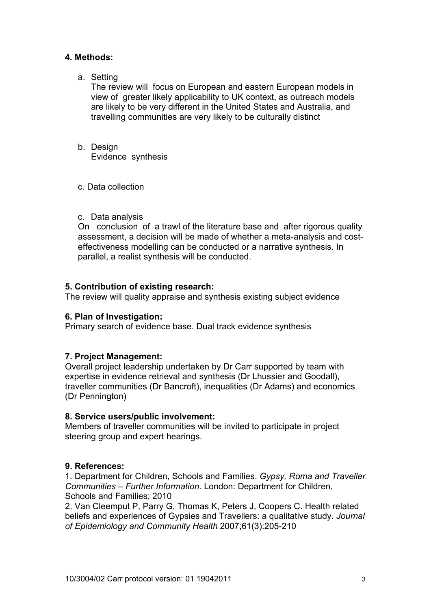# **4. Methods:**

a. Setting

The review will focus on European and eastern European models in view of greater likely applicability to UK context, as outreach models are likely to be very different in the United States and Australia, and travelling communities are very likely to be culturally distinct

- b. Design Evidence synthesis
- c. Data collection
- c. Data analysis

On conclusion of a trawl of the literature base and after rigorous quality assessment, a decision will be made of whether a meta-analysis and costeffectiveness modelling can be conducted or a narrative synthesis. In parallel, a realist synthesis will be conducted.

### **5. Contribution of existing research:**

The review will quality appraise and synthesis existing subject evidence

### **6. Plan of Investigation:**

Primary search of evidence base. Dual track evidence synthesis

### **7. Project Management:**

Overall project leadership undertaken by Dr Carr supported by team with expertise in evidence retrieval and synthesis (Dr Lhussier and Goodall), traveller communities (Dr Bancroft), inequalities (Dr Adams) and economics (Dr Pennington)

### **8. Service users/public involvement:**

Members of traveller communities will be invited to participate in project steering group and expert hearings.

### **9. References:**

1. Department for Children, Schools and Families. *Gypsy, Roma and Traveller Communities – Further Information*. London: Department for Children, Schools and Families; 2010

2. Van Cleemput P, Parry G, Thomas K, Peters J, Coopers C. Health related beliefs and experiences of Gypsies and Travellers: a qualitative study. *Journal of Epidemiology and Community Health* 2007;61(3):205-210